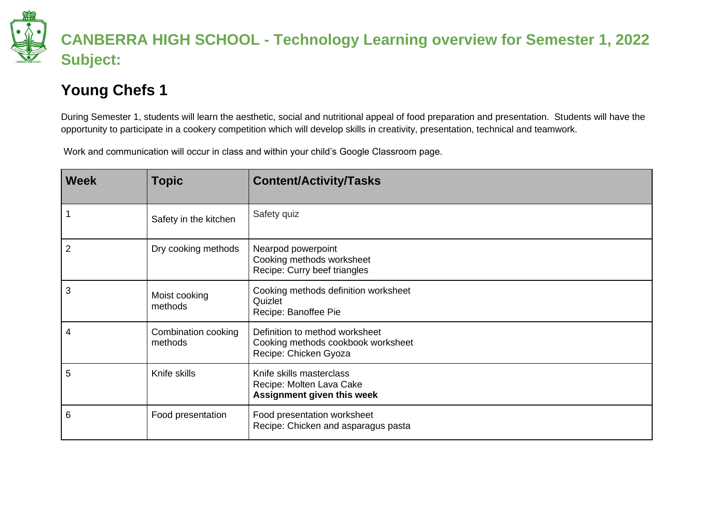

## **CANBERRA HIGH SCHOOL - Technology Learning overview for Semester 1, 2022 Subject:**

## **Young Chefs 1**

During Semester 1, students will learn the aesthetic, social and nutritional appeal of food preparation and presentation. Students will have the opportunity to participate in a cookery competition which will develop skills in creativity, presentation, technical and teamwork.

Work and communication will occur in class and within your child's Google Classroom page.

| <b>Week</b>    | <b>Topic</b>                   | <b>Content/Activity/Tasks</b>                                                                 |
|----------------|--------------------------------|-----------------------------------------------------------------------------------------------|
| $\overline{1}$ | Safety in the kitchen          | Safety quiz                                                                                   |
| $\overline{2}$ | Dry cooking methods            | Nearpod powerpoint<br>Cooking methods worksheet<br>Recipe: Curry beef triangles               |
| 3              | Moist cooking<br>methods       | Cooking methods definition worksheet<br>Quizlet<br>Recipe: Banoffee Pie                       |
| 4              | Combination cooking<br>methods | Definition to method worksheet<br>Cooking methods cookbook worksheet<br>Recipe: Chicken Gyoza |
| 5              | Knife skills                   | Knife skills masterclass<br>Recipe: Molten Lava Cake<br>Assignment given this week            |
| 6              | Food presentation              | Food presentation worksheet<br>Recipe: Chicken and asparagus pasta                            |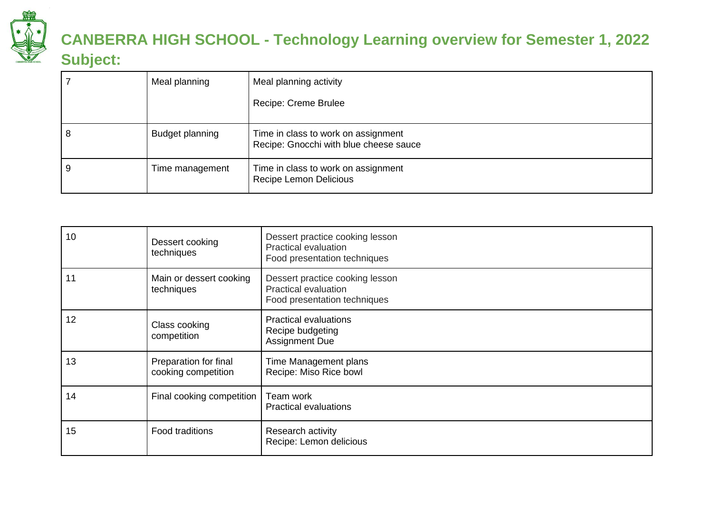

## **CANBERRA HIGH SCHOOL - Technology Learning overview for Semester 1, 2022 Subject:**

|   | Meal planning   | Meal planning activity<br>Recipe: Creme Brulee                                |
|---|-----------------|-------------------------------------------------------------------------------|
| 8 | Budget planning | Time in class to work on assignment<br>Recipe: Gnocchi with blue cheese sauce |
| 9 | Time management | Time in class to work on assignment<br>Recipe Lemon Delicious                 |

| 10 | Dessert cooking<br>techniques                | Dessert practice cooking lesson<br>Practical evaluation<br>Food presentation techniques |
|----|----------------------------------------------|-----------------------------------------------------------------------------------------|
| 11 | Main or dessert cooking<br>techniques        | Dessert practice cooking lesson<br>Practical evaluation<br>Food presentation techniques |
| 12 | Class cooking<br>competition                 | <b>Practical evaluations</b><br>Recipe budgeting<br><b>Assignment Due</b>               |
| 13 | Preparation for final<br>cooking competition | Time Management plans<br>Recipe: Miso Rice bowl                                         |
| 14 | Final cooking competition                    | Team work<br><b>Practical evaluations</b>                                               |
| 15 | Food traditions                              | Research activity<br>Recipe: Lemon delicious                                            |